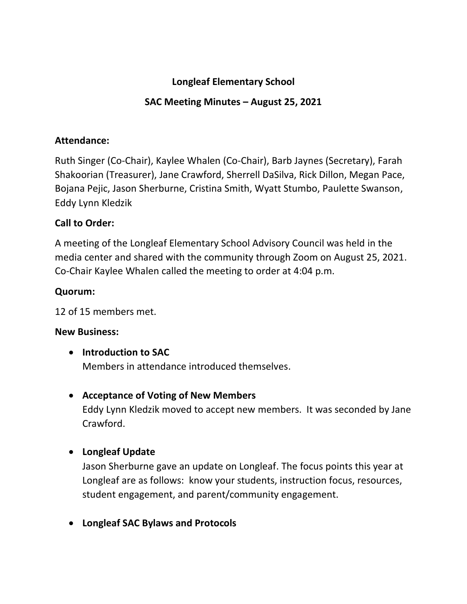## **Longleaf Elementary School**

# **SAC Meeting Minutes – August 25, 2021**

### **Attendance:**

Ruth Singer (Co-Chair), Kaylee Whalen (Co-Chair), Barb Jaynes (Secretary), Farah Shakoorian (Treasurer), Jane Crawford, Sherrell DaSilva, Rick Dillon, Megan Pace, Bojana Pejic, Jason Sherburne, Cristina Smith, Wyatt Stumbo, Paulette Swanson, Eddy Lynn Kledzik

# **Call to Order:**

A meeting of the Longleaf Elementary School Advisory Council was held in the media center and shared with the community through Zoom on August 25, 2021. Co-Chair Kaylee Whalen called the meeting to order at 4:04 p.m.

## **Quorum:**

12 of 15 members met.

### **New Business:**

• **Introduction to SAC**

Members in attendance introduced themselves.

## • **Acceptance of Voting of New Members**

Eddy Lynn Kledzik moved to accept new members. It was seconded by Jane Crawford.

## • **Longleaf Update**

Jason Sherburne gave an update on Longleaf. The focus points this year at Longleaf are as follows: know your students, instruction focus, resources, student engagement, and parent/community engagement.

• **Longleaf SAC Bylaws and Protocols**